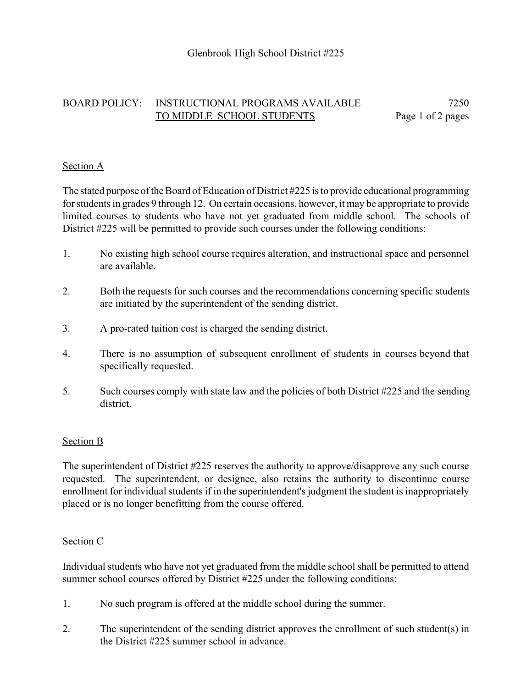# BOARD POLICY: INSTRUCTIONAL PROGRAMS AVAILABLE 7250 TO MIDDLE SCHOOL STUDENTS Page 1 of 2 pages

### Section A

The stated purpose of the Board of Education of District #225 is to provide educational programming for students in grades 9 through 12. On certain occasions, however, it may be appropriate to provide limited courses to students who have not yet graduated from middle school. The schools of District #225 will be permitted to provide such courses under the following conditions:

- 1. No existing high school course requires alteration, and instructional space and personnel are available.
- 2. Both the requests for such courses and the recommendations concerning specific students are initiated by the superintendent of the sending district.
- 3. A pro-rated tuition cost is charged the sending district.
- 4. There is no assumption of subsequent enrollment of students in courses beyond that specifically requested.
- 5. Such courses comply with state law and the policies of both District #225 and the sending district.

#### Section B

The superintendent of District #225 reserves the authority to approve/disapprove any such course requested. The superintendent, or designee, also retains the authority to discontinue course enrollment for individual students if in the superintendent's judgment the student is inappropriately placed or is no longer benefitting from the course offered.

#### Section C

Individual students who have not yet graduated from the middle school shall be permitted to attend summer school courses offered by District #225 under the following conditions:

- 1. No such program is offered at the middle school during the summer.
- 2. The superintendent of the sending district approves the enrollment of such student(s) in the District #225 summer school in advance.